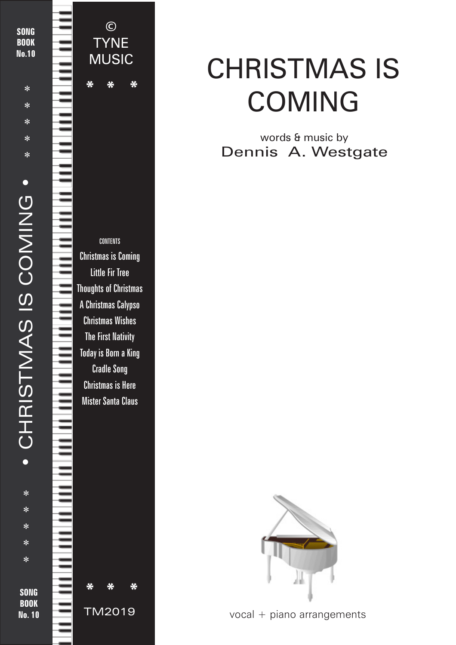

# CHRISTMAS IS COMING

### words & music by Dennis A. Westgate



vocal + piano arrangements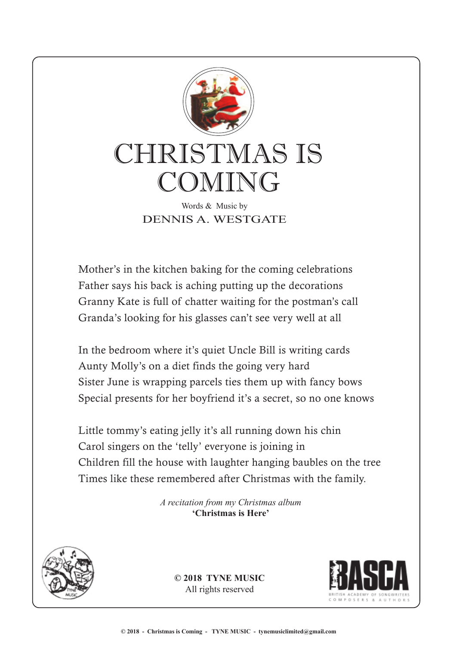

DENNIS A. WESTGATE

Mother's in the kitchen baking for the coming celebrations Father says his back is aching putting up the decorations Granny Kate is full of chatter waiting for the postman's call Granda's looking for his glasses can't see very well at all

In the bedroom where it's quiet Uncle Bill is writing cards Aunty Molly's on a diet finds the going very hard Sister June is wrapping parcels ties them up with fancy bows Special presents for her boyfriend it's a secret, so no one knows

Little tommy's eating jelly it's all running down his chin Carol singers on the 'telly' everyone is joining in Children fill the house with laughter hanging baubles on the tree Times like these remembered after Christmas with the family.

> *A recitation from my Christmas album* **'Christmas is Here'**



**© 2018 TYNE MUSIC** All rights reserved

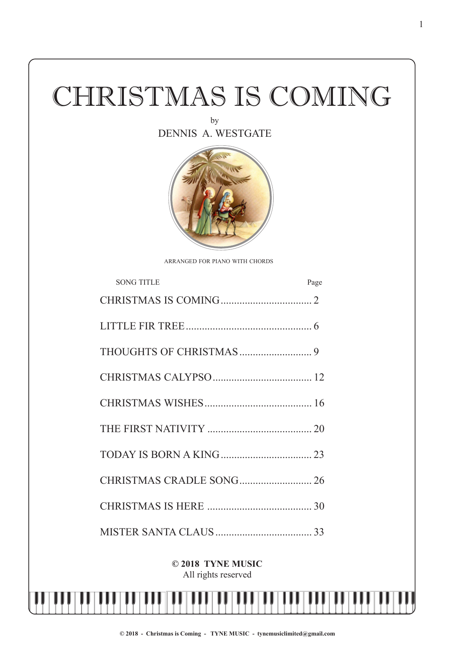# CHRISTMAS IS COMING

by DENNIS A. WESTGATE



ARRANGED FOR PIANO WITH CHORDS

| <b>SONG TITLE</b>        | Page |
|--------------------------|------|
|                          |      |
|                          |      |
|                          |      |
|                          |      |
|                          |      |
|                          |      |
|                          |      |
| CHRISTMAS CRADLE SONG 26 |      |
|                          |      |
|                          |      |

#### **© 2018 TYNE MUSIC** All rights reserved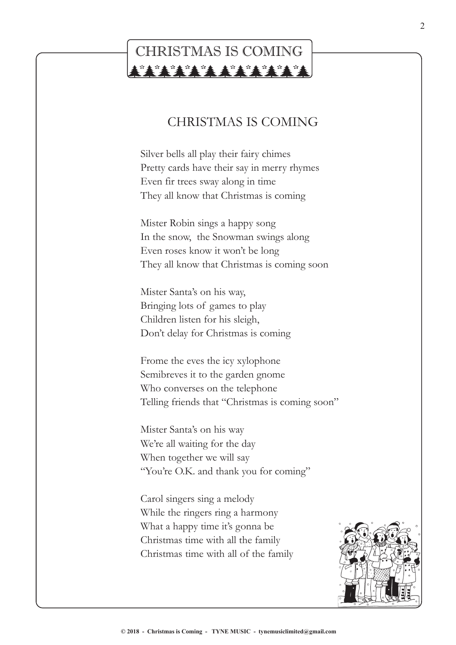## CHRISTMAS IS COMING**TATALANANARAN**

### CHRISTMAS IS COMING

Silver bells all play their fairy chimes Pretty cards have their say in merry rhymes Even fir trees sway along in time They all know that Christmas is coming

Mister Robin sings a happy song In the snow, the Snowman swings along Even roses know it won't be long They all know that Christmas is coming soon

Mister Santa's on his way, Bringing lots of games to play Children listen for his sleigh, Don't delay for Christmas is coming

Frome the eves the icy xylophone Semibreves it to the garden gnome Who converses on the telephone Telling friends that "Christmas is coming soon"

Mister Santa's on his way We're all waiting for the day When together we will say "You're O.K. and thank you for coming"

Carol singers sing a melody While the ringers ring a harmony What a happy time it's gonna be Christmas time with all the family Christmas time with all of the family

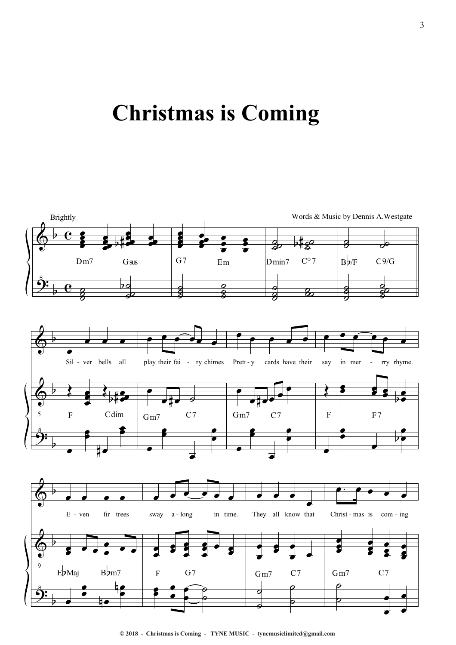# **Christmas is Coming**



**<sup>© 2018 -</sup> Christmas is Coming - TYNE MUSIC - tynemusiclimited@gmail.com**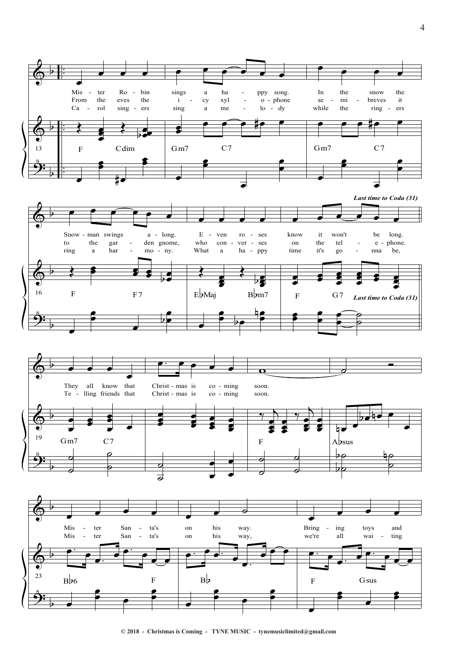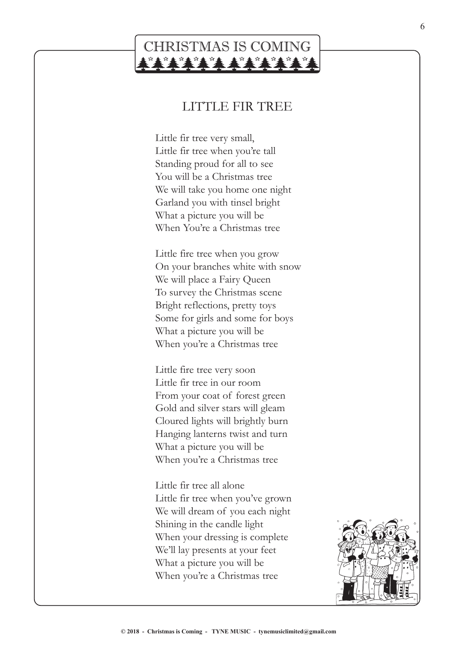### CHRISTMAS IS COMING\*\*\*\*\*\*\*\*\*\*\*\*

#### LITTLE FIR TREE

Little fir tree very small, Little fir tree when you're tall Standing proud for all to see You will be a Christmas tree We will take you home one night Garland you with tinsel bright What a picture you will be When You're a Christmas tree

Little fire tree when you grow On your branches white with snow We will place a Fairy Queen To survey the Christmas scene Bright reflections, pretty toys Some for girls and some for boys What a picture you will be When you're a Christmas tree

Little fire tree very soon Little fir tree in our room From your coat of forest green Gold and silver stars will gleam Cloured lights will brightly burn Hanging lanterns twist and turn What a picture you will be When you're a Christmas tree

Little fir tree all alone Little fir tree when you've grown We will dream of you each night Shining in the candle light When your dressing is complete We'll lay presents at your feet What a picture you will be When you're a Christmas tree

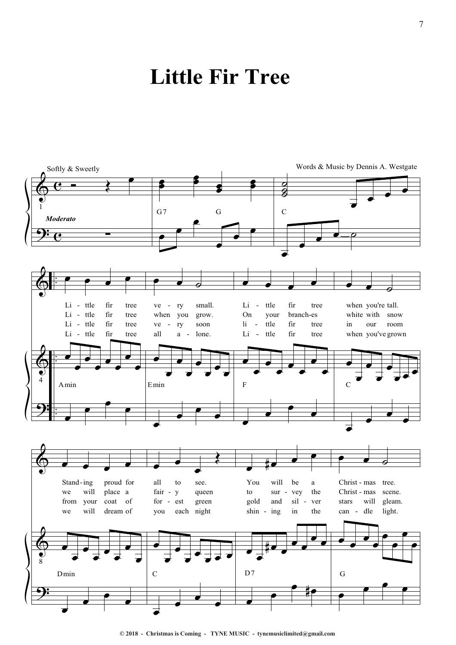# **Little Fir Tree**



**© 2018 - Christmas is Coming - TYNE MUSIC - tynemusiclimited@gmail.com**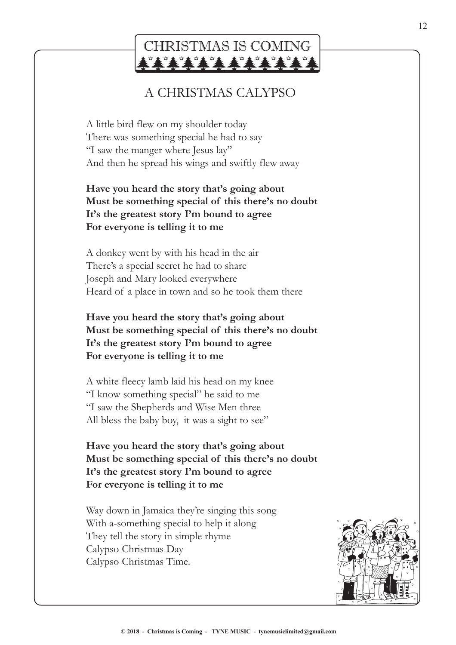## CHRISTMAS IS COMING

### A CHRISTMAS CALYPSO

A little bird flew on my shoulder today There was something special he had to say "I saw the manger where Jesus lay" And then he spread his wings and swiftly flew away

#### **Have you heard the story that's going about Must be something special of this there's no doubt It's the greatest story I'm bound to agree For everyone is telling it to me**

A donkey went by with his head in the air There's a special secret he had to share Joseph and Mary looked everywhere Heard of a place in town and so he took them there

#### **Have you heard the story that's going about Must be something special of this there's no doubt It's the greatest story I'm bound to agree For everyone is telling it to me**

A white fleecy lamb laid his head on my knee "I know something special" he said to me "I saw the Shepherds and Wise Men three All bless the baby boy, it was a sight to see"

**Have you heard the story that's going about Must be something special of this there's no doubt It's the greatest story I'm bound to agree For everyone is telling it to me**

Way down in Jamaica they're singing this song With a-something special to help it along They tell the story in simple rhyme Calypso Christmas Day Calypso Christmas Time.

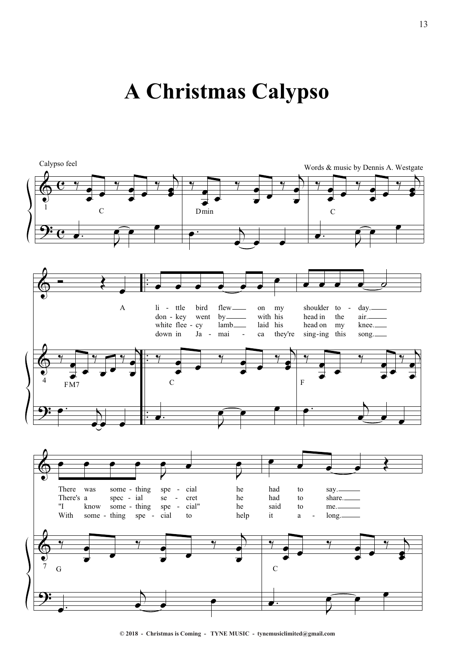# **A Christmas Calypso**



**<sup>© 2018 -</sup> Christmas is Coming - TYNE MUSIC - tynemusiclimited@gmail.com**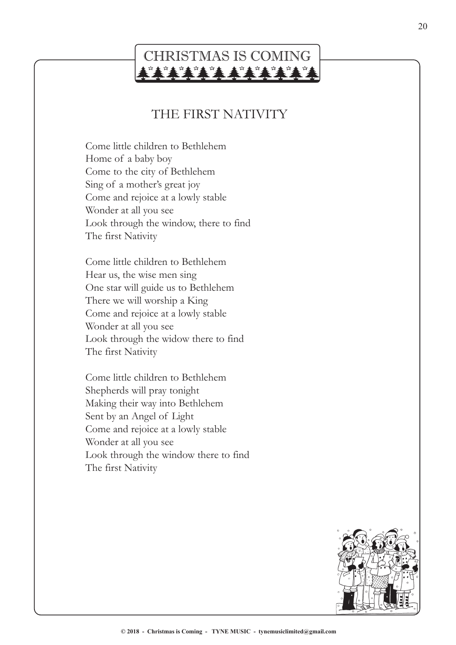# CHRISTMAS IS COMING

### THE FIRST NATIVITY

Come little children to Bethlehem Home of a baby boy Come to the city of Bethlehem Sing of a mother's great joy Come and rejoice at a lowly stable Wonder at all you see Look through the window, there to find The first Nativity

Come little children to Bethlehem Hear us, the wise men sing One star will guide us to Bethlehem There we will worship a King Come and rejoice at a lowly stable Wonder at all you see Look through the widow there to find The first Nativity

Come little children to Bethlehem Shepherds will pray tonight Making their way into Bethlehem Sent by an Angel of Light Come and rejoice at a lowly stable Wonder at all you see Look through the window there to find The first Nativity